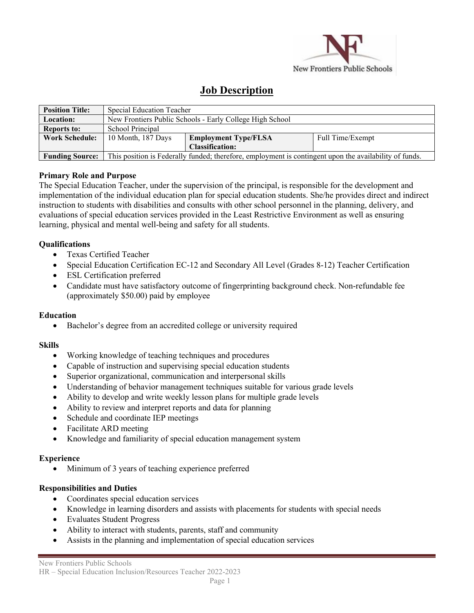

# **Job Description**

| <b>Position Title:</b> | Special Education Teacher                                                                              |                             |                  |  |
|------------------------|--------------------------------------------------------------------------------------------------------|-----------------------------|------------------|--|
| <b>Location:</b>       | New Frontiers Public Schools - Early College High School                                               |                             |                  |  |
| <b>Reports to:</b>     | School Principal                                                                                       |                             |                  |  |
| <b>Work Schedule:</b>  | 10 Month, 187 Days                                                                                     | <b>Employment Type/FLSA</b> | Full Time/Exempt |  |
|                        |                                                                                                        | <b>Classification:</b>      |                  |  |
| <b>Funding Source:</b> | This position is Federally funded; therefore, employment is contingent upon the availability of funds. |                             |                  |  |

## **Primary Role and Purpose**

The Special Education Teacher, under the supervision of the principal, is responsible for the development and implementation of the individual education plan for special education students. She/he provides direct and indirect instruction to students with disabilities and consults with other school personnel in the planning, delivery, and evaluations of special education services provided in the Least Restrictive Environment as well as ensuring learning, physical and mental well-being and safety for all students.

## **Qualifications**

- Texas Certified Teacher
- Special Education Certification EC-12 and Secondary All Level (Grades 8-12) Teacher Certification
- ESL Certification preferred
- Candidate must have satisfactory outcome of fingerprinting background check. Non-refundable fee (approximately \$50.00) paid by employee

## **Education**

• Bachelor's degree from an accredited college or university required

## **Skills**

- Working knowledge of teaching techniques and procedures
- Capable of instruction and supervising special education students
- Superior organizational, communication and interpersonal skills
- Understanding of behavior management techniques suitable for various grade levels
- Ability to develop and write weekly lesson plans for multiple grade levels
- Ability to review and interpret reports and data for planning
- Schedule and coordinate IEP meetings
- Facilitate ARD meeting
- Knowledge and familiarity of special education management system

## **Experience**

• Minimum of 3 years of teaching experience preferred

# **Responsibilities and Duties**

- Coordinates special education services
- Knowledge in learning disorders and assists with placements for students with special needs
- Evaluates Student Progress
- Ability to interact with students, parents, staff and community
- Assists in the planning and implementation of special education services

#### New Frontiers Public Schools HR – Special Education Inclusion/Resources Teacher 2022-2023